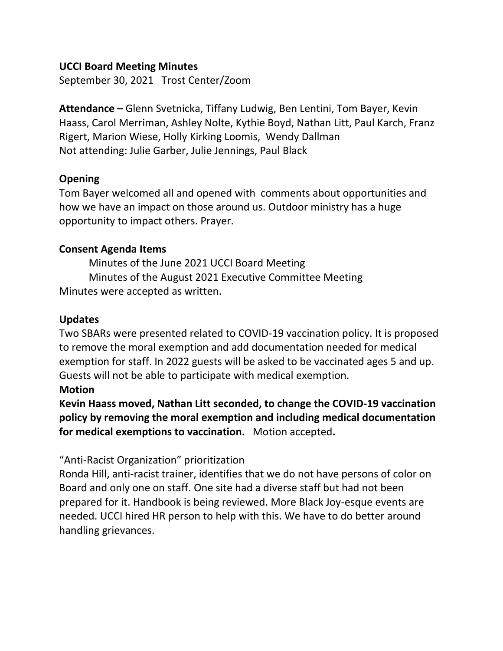#### **UCCI Board Meeting Minutes**

September 30, 2021 Trost Center/Zoom

**Attendance –** Glenn Svetnicka, Tiffany Ludwig, Ben Lentini, Tom Bayer, Kevin Haass, Carol Merriman, Ashley Nolte, Kythie Boyd, Nathan Litt, Paul Karch, Franz Rigert, Marion Wiese, Holly Kirking Loomis, Wendy Dallman Not attending: Julie Garber, Julie Jennings, Paul Black

## **Opening**

Tom Bayer welcomed all and opened with comments about opportunities and how we have an impact on those around us. Outdoor ministry has a huge opportunity to impact others. Prayer.

## **Consent Agenda Items**

Minutes of the June 2021 UCCI Board Meeting Minutes of the August 2021 Executive Committee Meeting Minutes were accepted as written.

## **Updates**

Two SBARs were presented related to COVID-19 vaccination policy. It is proposed to remove the moral exemption and add documentation needed for medical exemption for staff. In 2022 guests will be asked to be vaccinated ages 5 and up. Guests will not be able to participate with medical exemption.

## **Motion**

**Kevin Haass moved, Nathan Litt seconded, to change the COVID-19 vaccination policy by removing the moral exemption and including medical documentation for medical exemptions to vaccination.** Motion accepted**.**

## "Anti-Racist Organization" prioritization

Ronda Hill, anti-racist trainer, identifies that we do not have persons of color on Board and only one on staff. One site had a diverse staff but had not been prepared for it. Handbook is being reviewed. More Black Joy-esque events are needed. UCCI hired HR person to help with this. We have to do better around handling grievances.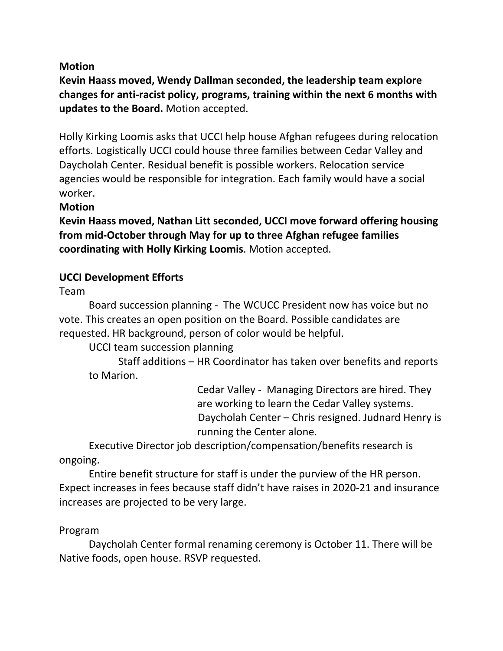## **Motion**

**Kevin Haass moved, Wendy Dallman seconded, the leadership team explore changes for anti-racist policy, programs, training within the next 6 months with updates to the Board.** Motion accepted.

Holly Kirking Loomis asks that UCCI help house Afghan refugees during relocation efforts. Logistically UCCI could house three families between Cedar Valley and Daycholah Center. Residual benefit is possible workers. Relocation service agencies would be responsible for integration. Each family would have a social worker.

## **Motion**

**Kevin Haass moved, Nathan Litt seconded, UCCI move forward offering housing from mid-October through May for up to three Afghan refugee families coordinating with Holly Kirking Loomis**. Motion accepted.

# **UCCI Development Efforts**

Team

Board succession planning - The WCUCC President now has voice but no vote. This creates an open position on the Board. Possible candidates are requested. HR background, person of color would be helpful.

UCCI team succession planning

Staff additions – HR Coordinator has taken over benefits and reports to Marion.

> Cedar Valley - Managing Directors are hired. They are working to learn the Cedar Valley systems. Daycholah Center – Chris resigned. Judnard Henry is running the Center alone.

Executive Director job description/compensation/benefits research is ongoing.

Entire benefit structure for staff is under the purview of the HR person. Expect increases in fees because staff didn't have raises in 2020-21 and insurance increases are projected to be very large.

## Program

Daycholah Center formal renaming ceremony is October 11. There will be Native foods, open house. RSVP requested.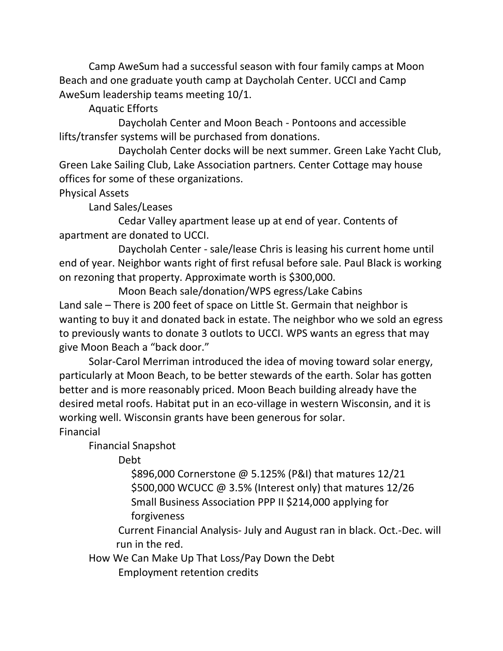Camp AweSum had a successful season with four family camps at Moon Beach and one graduate youth camp at Daycholah Center. UCCI and Camp AweSum leadership teams meeting 10/1.

Aquatic Efforts

Daycholah Center and Moon Beach - Pontoons and accessible lifts/transfer systems will be purchased from donations.

Daycholah Center docks will be next summer. Green Lake Yacht Club, Green Lake Sailing Club, Lake Association partners. Center Cottage may house offices for some of these organizations.

Physical Assets

Land Sales/Leases

Cedar Valley apartment lease up at end of year. Contents of apartment are donated to UCCI.

Daycholah Center - sale/lease Chris is leasing his current home until end of year. Neighbor wants right of first refusal before sale. Paul Black is working on rezoning that property. Approximate worth is \$300,000.

Moon Beach sale/donation/WPS egress/Lake Cabins Land sale – There is 200 feet of space on Little St. Germain that neighbor is wanting to buy it and donated back in estate. The neighbor who we sold an egress to previously wants to donate 3 outlots to UCCI. WPS wants an egress that may give Moon Beach a "back door."

Solar-Carol Merriman introduced the idea of moving toward solar energy, particularly at Moon Beach, to be better stewards of the earth. Solar has gotten better and is more reasonably priced. Moon Beach building already have the desired metal roofs. Habitat put in an eco-village in western Wisconsin, and it is working well. Wisconsin grants have been generous for solar. Financial

Financial Snapshot

Debt

 \$896,000 Cornerstone @ 5.125% (P&I) that matures 12/21 \$500,000 WCUCC @ 3.5% (Interest only) that matures 12/26 Small Business Association PPP II \$214,000 applying for forgiveness

Current Financial Analysis- July and August ran in black. Oct.-Dec. will run in the red.

How We Can Make Up That Loss/Pay Down the Debt Employment retention credits